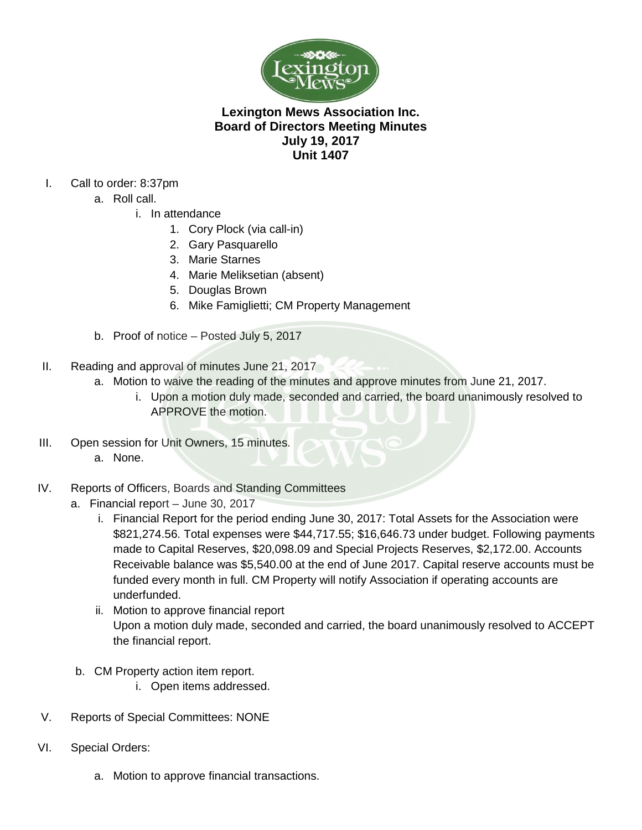

## **Lexington Mews Association Inc. Board of Directors Meeting Minutes July 19, 2017 Unit 1407**

- I. Call to order: 8:37pm
	- a. Roll call.
		- i. In attendance
			- 1. Cory Plock (via call-in)
			- 2. Gary Pasquarello
			- 3. Marie Starnes
			- 4. Marie Meliksetian (absent)
			- 5. Douglas Brown
			- 6. Mike Famiglietti; CM Property Management
	- b. Proof of notice Posted July 5, 2017
- II. Reading and approval of minutes June 21, 2017
	- a. Motion to waive the reading of the minutes and approve minutes from June 21, 2017.
		- i. Upon a motion duly made, seconded and carried, the board unanimously resolved to APPROVE the motion.
- III. Open session for Unit Owners, 15 minutes.
	- a. None.
- IV. Reports of Officers, Boards and Standing Committees
	- a. Financial report June 30, 2017
		- i. Financial Report for the period ending June 30, 2017: Total Assets for the Association were \$821,274.56. Total expenses were \$44,717.55; \$16,646.73 under budget. Following payments made to Capital Reserves, \$20,098.09 and Special Projects Reserves, \$2,172.00. Accounts Receivable balance was \$5,540.00 at the end of June 2017. Capital reserve accounts must be funded every month in full. CM Property will notify Association if operating accounts are underfunded.
		- ii. Motion to approve financial report Upon a motion duly made, seconded and carried, the board unanimously resolved to ACCEPT the financial report.
	- b. CM Property action item report.
		- i. Open items addressed.
- V. Reports of Special Committees: NONE
- VI. Special Orders:
	- a. Motion to approve financial transactions.